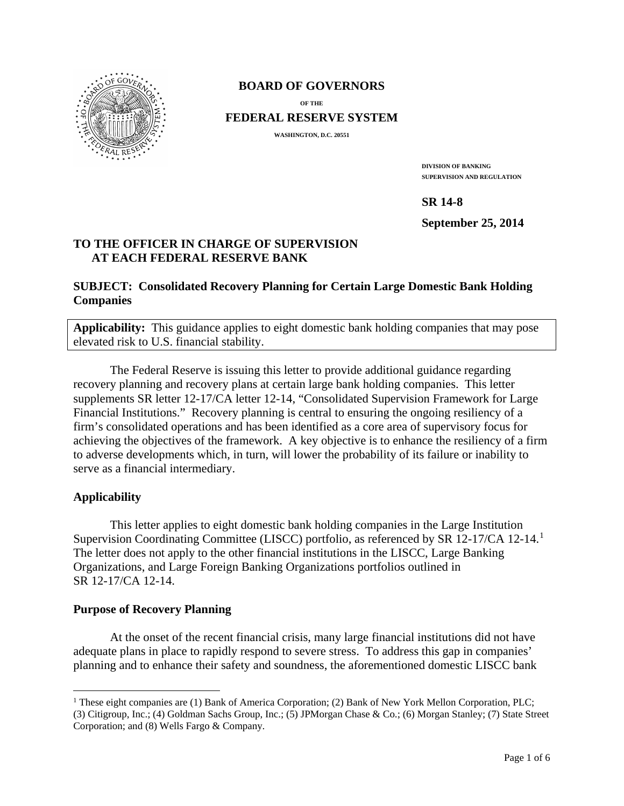

### **BOARD OF GOVERNORS**

**OF THE**

**FEDERAL RESERVE SYSTEM**

**WASHINGTON, D.C. 20551**

**DIVISION OF BANKING SUPERVISION AND REGULATION**

**SR 14-8**

**September 25, 2014**

# **TO THE OFFICER IN CHARGE OF SUPERVISION AT EACH FEDERAL RESERVE BANK**

## **SUBJECT: Consolidated Recovery Planning for Certain Large Domestic Bank Holding Companies**

**Applicability:** This guidance applies to eight domestic bank holding companies that may pose elevated risk to U.S. financial stability.

The Federal Reserve is issuing this letter to provide additional guidance regarding recovery planning and recovery plans at certain large bank holding companies. This letter supplements SR letter 12-17/CA letter 12-14, "Consolidated Supervision Framework for Large Financial Institutions." Recovery planning is central to ensuring the ongoing resiliency of a firm's consolidated operations and has been identified as a core area of supervisory focus for achieving the objectives of the framework. A key objective is to enhance the resiliency of a firm to adverse developments which, in turn, will lower the probability of its failure or inability to serve as a financial intermediary.

# **Applicability**

 $\overline{a}$ 

This letter applies to eight domestic bank holding companies in the Large Institution Supervision Coordinating Committee (LISCC) portfolio, as referenced by SR 12-17/CA 12-14.[1](#page-0-0) The letter does not apply to the other financial institutions in the LISCC, Large Banking Organizations, and Large Foreign Banking Organizations portfolios outlined in SR 12-17/CA 12-14.

### **Purpose of Recovery Planning**

At the onset of the recent financial crisis, many large financial institutions did not have adequate plans in place to rapidly respond to severe stress. To address this gap in companies' planning and to enhance their safety and soundness, the aforementioned domestic LISCC bank

<span id="page-0-0"></span><sup>&</sup>lt;sup>1</sup> These eight companies are (1) Bank of America Corporation; (2) Bank of New York Mellon Corporation, PLC; (3) Citigroup, Inc.; (4) Goldman Sachs Group, Inc.; (5) JPMorgan Chase & Co.; (6) Morgan Stanley; (7) State Street Corporation; and (8) Wells Fargo & Company.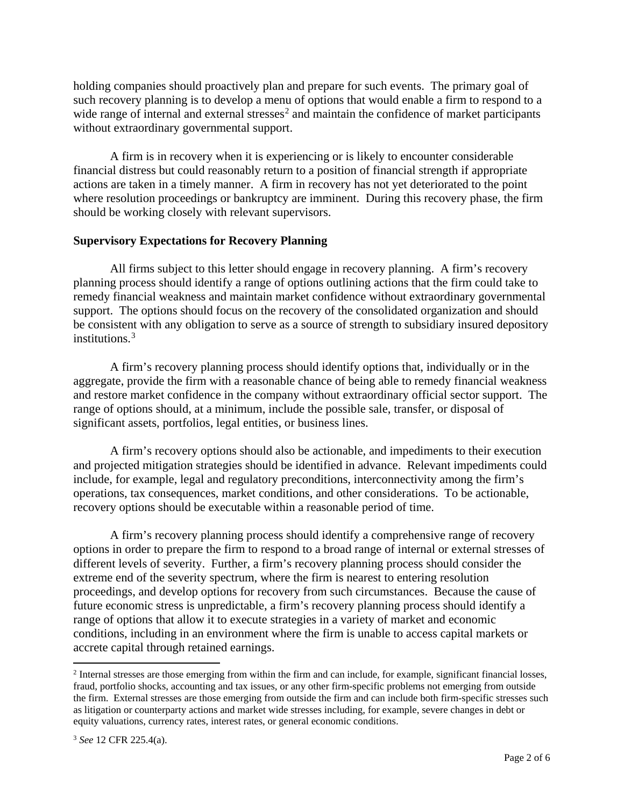holding companies should proactively plan and prepare for such events. The primary goal of such recovery planning is to develop a menu of options that would enable a firm to respond to a wide range of internal and external stresses<sup>[2](#page-1-0)</sup> and maintain the confidence of market participants without extraordinary governmental support.

A firm is in recovery when it is experiencing or is likely to encounter considerable financial distress but could reasonably return to a position of financial strength if appropriate actions are taken in a timely manner. A firm in recovery has not yet deteriorated to the point where resolution proceedings or bankruptcy are imminent. During this recovery phase, the firm should be working closely with relevant supervisors.

#### **Supervisory Expectations for Recovery Planning**

All firms subject to this letter should engage in recovery planning. A firm's recovery planning process should identify a range of options outlining actions that the firm could take to remedy financial weakness and maintain market confidence without extraordinary governmental support. The options should focus on the recovery of the consolidated organization and should be consistent with any obligation to serve as a source of strength to subsidiary insured depository institutions.[3](#page-1-1)

A firm's recovery planning process should identify options that, individually or in the aggregate, provide the firm with a reasonable chance of being able to remedy financial weakness and restore market confidence in the company without extraordinary official sector support. The range of options should, at a minimum, include the possible sale, transfer, or disposal of significant assets, portfolios, legal entities, or business lines.

A firm's recovery options should also be actionable, and impediments to their execution and projected mitigation strategies should be identified in advance. Relevant impediments could include, for example, legal and regulatory preconditions, interconnectivity among the firm's operations, tax consequences, market conditions, and other considerations. To be actionable, recovery options should be executable within a reasonable period of time.

A firm's recovery planning process should identify a comprehensive range of recovery options in order to prepare the firm to respond to a broad range of internal or external stresses of different levels of severity. Further, a firm's recovery planning process should consider the extreme end of the severity spectrum, where the firm is nearest to entering resolution proceedings, and develop options for recovery from such circumstances. Because the cause of future economic stress is unpredictable, a firm's recovery planning process should identify a range of options that allow it to execute strategies in a variety of market and economic conditions, including in an environment where the firm is unable to access capital markets or accrete capital through retained earnings.

 $\overline{a}$ 

<span id="page-1-1"></span><span id="page-1-0"></span><sup>2</sup> Internal stresses are those emerging from within the firm and can include, for example, significant financial losses, fraud, portfolio shocks, accounting and tax issues, or any other firm-specific problems not emerging from outside the firm. External stresses are those emerging from outside the firm and can include both firm-specific stresses such as litigation or counterparty actions and market wide stresses including, for example, severe changes in debt or equity valuations, currency rates, interest rates, or general economic conditions.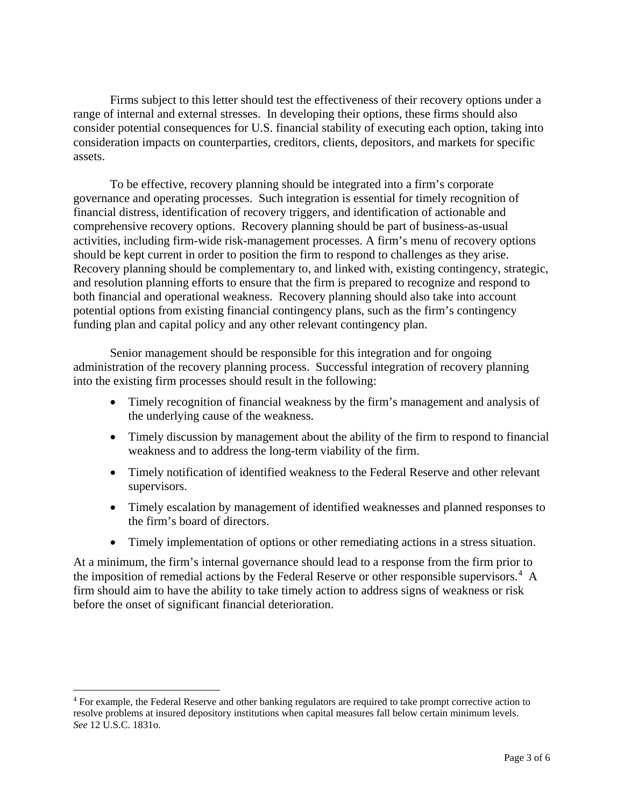Firms subject to this letter should test the effectiveness of their recovery options under a range of internal and external stresses. In developing their options, these firms should also consider potential consequences for U.S. financial stability of executing each option, taking into consideration impacts on counterparties, creditors, clients, depositors, and markets for specific assets.

To be effective, recovery planning should be integrated into a firm's corporate governance and operating processes. Such integration is essential for timely recognition of financial distress, identification of recovery triggers, and identification of actionable and comprehensive recovery options. Recovery planning should be part of business-as-usual activities, including firm-wide risk-management processes. A firm's menu of recovery options should be kept current in order to position the firm to respond to challenges as they arise. Recovery planning should be complementary to, and linked with, existing contingency, strategic, and resolution planning efforts to ensure that the firm is prepared to recognize and respond to both financial and operational weakness. Recovery planning should also take into account potential options from existing financial contingency plans, such as the firm's contingency funding plan and capital policy and any other relevant contingency plan.

Senior management should be responsible for this integration and for ongoing administration of the recovery planning process. Successful integration of recovery planning into the existing firm processes should result in the following:

- Timely recognition of financial weakness by the firm's management and analysis of the underlying cause of the weakness.
- Timely discussion by management about the ability of the firm to respond to financial weakness and to address the long-term viability of the firm.
- Timely notification of identified weakness to the Federal Reserve and other relevant supervisors.
- Timely escalation by management of identified weaknesses and planned responses to the firm's board of directors.
- Timely implementation of options or other remediating actions in a stress situation.

At a minimum, the firm's internal governance should lead to a response from the firm prior to the imposition of remedial actions by the Federal Reserve or other responsible supervisors.<sup>[4](#page-2-0)</sup> A firm should aim to have the ability to take timely action to address signs of weakness or risk before the onset of significant financial deterioration.

 $\overline{a}$ 

<span id="page-2-0"></span><sup>4</sup> For example, the Federal Reserve and other banking regulators are required to take prompt corrective action to resolve problems at insured depository institutions when capital measures fall below certain minimum levels. *See* 12 U.S.C. 1831o.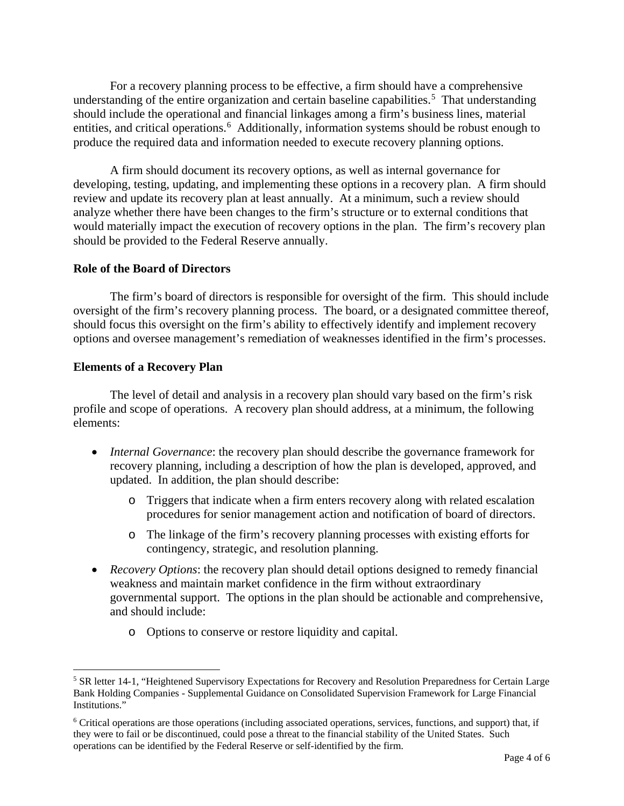For a recovery planning process to be effective, a firm should have a comprehensive understanding of the entire organization and certain baseline capabilities.<sup>[5](#page-3-0)</sup> That understanding should include the operational and financial linkages among a firm's business lines, material entities, and critical operations.<sup>[6](#page-3-1)</sup> Additionally, information systems should be robust enough to produce the required data and information needed to execute recovery planning options.

A firm should document its recovery options, as well as internal governance for developing, testing, updating, and implementing these options in a recovery plan. A firm should review and update its recovery plan at least annually. At a minimum, such a review should analyze whether there have been changes to the firm's structure or to external conditions that would materially impact the execution of recovery options in the plan. The firm's recovery plan should be provided to the Federal Reserve annually.

### **Role of the Board of Directors**

The firm's board of directors is responsible for oversight of the firm. This should include oversight of the firm's recovery planning process. The board, or a designated committee thereof, should focus this oversight on the firm's ability to effectively identify and implement recovery options and oversee management's remediation of weaknesses identified in the firm's processes.

## **Elements of a Recovery Plan**

The level of detail and analysis in a recovery plan should vary based on the firm's risk profile and scope of operations. A recovery plan should address, at a minimum, the following elements:

- *Internal Governance*: the recovery plan should describe the governance framework for recovery planning, including a description of how the plan is developed, approved, and updated. In addition, the plan should describe:
	- o Triggers that indicate when a firm enters recovery along with related escalation procedures for senior management action and notification of board of directors.
	- o The linkage of the firm's recovery planning processes with existing efforts for contingency, strategic, and resolution planning.
- *Recovery Options*: the recovery plan should detail options designed to remedy financial weakness and maintain market confidence in the firm without extraordinary governmental support. The options in the plan should be actionable and comprehensive, and should include:
	- o Options to conserve or restore liquidity and capital.

<span id="page-3-0"></span><sup>&</sup>lt;sup>5</sup> SR letter 14-1, "Heightened Supervisory Expectations for Recovery and Resolution Preparedness for Certain Large Bank Holding Companies - Supplemental Guidance on Consolidated Supervision Framework for Large Financial Institutions."  $\overline{a}$ 

<span id="page-3-1"></span><sup>6</sup> Critical operations are those operations (including associated operations, services, functions, and support) that, if they were to fail or be discontinued, could pose a threat to the financial stability of the United States. Such operations can be identified by the Federal Reserve or self-identified by the firm.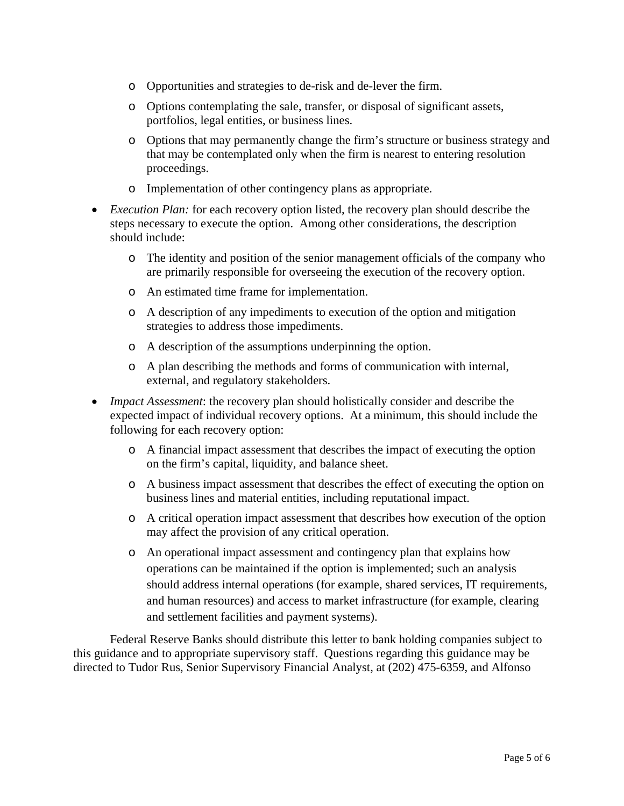- o Opportunities and strategies to de-risk and de-lever the firm.
- o Options contemplating the sale, transfer, or disposal of significant assets, portfolios, legal entities, or business lines.
- o Options that may permanently change the firm's structure or business strategy and that may be contemplated only when the firm is nearest to entering resolution proceedings.
- o Implementation of other contingency plans as appropriate.
- *Execution Plan:* for each recovery option listed, the recovery plan should describe the steps necessary to execute the option. Among other considerations, the description should include:
	- o The identity and position of the senior management officials of the company who are primarily responsible for overseeing the execution of the recovery option.
	- o An estimated time frame for implementation.
	- o A description of any impediments to execution of the option and mitigation strategies to address those impediments.
	- o A description of the assumptions underpinning the option.
	- o A plan describing the methods and forms of communication with internal, external, and regulatory stakeholders.
- *Impact Assessment*: the recovery plan should holistically consider and describe the expected impact of individual recovery options. At a minimum, this should include the following for each recovery option:
	- o A financial impact assessment that describes the impact of executing the option on the firm's capital, liquidity, and balance sheet.
	- o A business impact assessment that describes the effect of executing the option on business lines and material entities, including reputational impact.
	- o A critical operation impact assessment that describes how execution of the option may affect the provision of any critical operation.
	- o An operational impact assessment and contingency plan that explains how operations can be maintained if the option is implemented; such an analysis should address internal operations (for example, shared services, IT requirements, and human resources) and access to market infrastructure (for example, clearing and settlement facilities and payment systems).

Federal Reserve Banks should distribute this letter to bank holding companies subject to this guidance and to appropriate supervisory staff. Questions regarding this guidance may be directed to Tudor Rus, Senior Supervisory Financial Analyst, at (202) 475-6359, and Alfonso